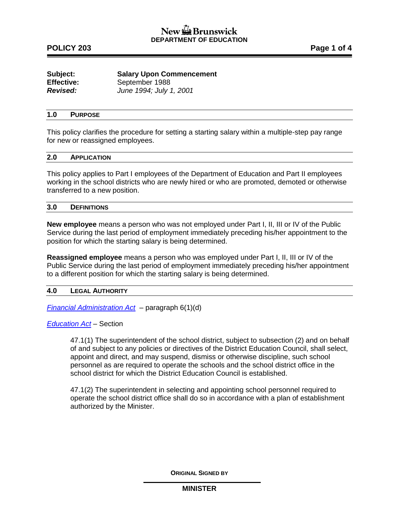| Subject:          | <b>Salary Upon Commencement</b> |
|-------------------|---------------------------------|
| <b>Effective:</b> | September 1988                  |
| <b>Revised:</b>   | June 1994; July 1, 2001         |

### **1.0 PURPOSE**

This policy clarifies the procedure for setting a starting salary within a multiple-step pay range for new or reassigned employees.

#### **2.0 APPLICATION**

This policy applies to Part I employees of the Department of Education and Part II employees working in the school districts who are newly hired or who are promoted, demoted or otherwise transferred to a new position.

#### **3.0 DEFINITIONS**

**New employee** means a person who was not employed under Part I, II, III or IV of the Public Service during the last period of employment immediately preceding his/her appointment to the position for which the starting salary is being determined.

**Reassigned employee** means a person who was employed under Part I, II, III or IV of the Public Service during the last period of employment immediately preceding his/her appointment to a different position for which the starting salary is being determined.

### **4.0 LEGAL AUTHORITY**

*[Financial Administration Act](http://laws.gnb.ca/en/ShowPdf/cs/2011-c.160.pdf)* – paragraph 6(1)(d)

*[Education Act](http://laws.gnb.ca/en/ShowPdf/cs/E-1.12.pdf)* – Section

47.1(1) The superintendent of the school district, subject to subsection (2) and on behalf of and subject to any policies or directives of the District Education Council, shall select, appoint and direct, and may suspend, dismiss or otherwise discipline, such school personnel as are required to operate the schools and the school district office in the school district for which the District Education Council is established.

47.1(2) The superintendent in selecting and appointing school personnel required to operate the school district office shall do so in accordance with a plan of establishment authorized by the Minister.

**ORIGINAL SIGNED BY**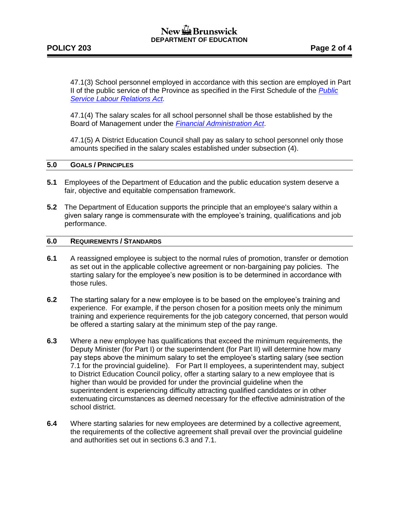## New the Brunswick **DEPARTMENT OF EDUCATION**

47.1(3) School personnel employed in accordance with this section are employed in Part II of the public service of the Province as specified in the First Schedule of the *[Public](http://laws.gnb.ca/en/ShowPdf/cs/P-25.pdf)  [Service Labour Relations Act.](http://laws.gnb.ca/en/ShowPdf/cs/P-25.pdf)*

47.1(4) The salary scales for all school personnel shall be those established by the Board of Management under the *[Financial Administration Act](http://laws.gnb.ca/en/ShowPdf/cs/2011-c.160.pdf)*.

47.1(5) A District Education Council shall pay as salary to school personnel only those amounts specified in the salary scales established under subsection (4).

### **5.0 GOALS / PRINCIPLES**

- **5.1** Employees of the Department of Education and the public education system deserve a fair, objective and equitable compensation framework.
- **5.2** The Department of Education supports the principle that an employee's salary within a given salary range is commensurate with the employee's training, qualifications and job performance.

### **6.0 REQUIREMENTS / STANDARDS**

- **6.1** A reassigned employee is subject to the normal rules of promotion, transfer or demotion as set out in the applicable collective agreement or non-bargaining pay policies. The starting salary for the employee's new position is to be determined in accordance with those rules.
- **6.2** The starting salary for a new employee is to be based on the employee's training and experience. For example, if the person chosen for a position meets only the minimum training and experience requirements for the job category concerned, that person would be offered a starting salary at the minimum step of the pay range.
- **6.3** Where a new employee has qualifications that exceed the minimum requirements, the Deputy Minister (for Part I) or the superintendent (for Part II) will determine how many pay steps above the minimum salary to set the employee's starting salary (see section 7.1 for the provincial guideline). For Part II employees, a superintendent may, subject to District Education Council policy, offer a starting salary to a new employee that is higher than would be provided for under the provincial guideline when the superintendent is experiencing difficulty attracting qualified candidates or in other extenuating circumstances as deemed necessary for the effective administration of the school district.
- **6.4** Where starting salaries for new employees are determined by a collective agreement, the requirements of the collective agreement shall prevail over the provincial guideline and authorities set out in sections 6.3 and 7.1.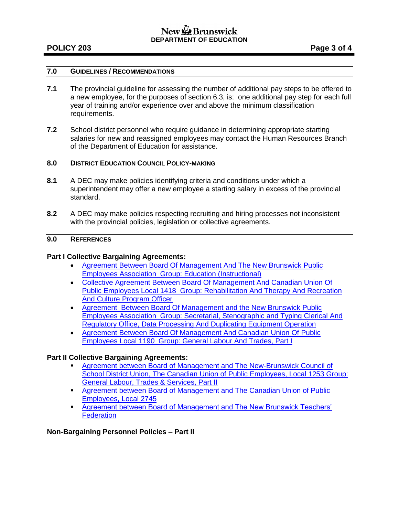## New the Brunswick **DEPARTMENT OF EDUCATION**

## **POLICY 203 Page 3 of 4**

## **7.0 GUIDELINES / RECOMMENDATIONS**

- **7.1** The provincial guideline for assessing the number of additional pay steps to be offered to a new employee, for the purposes of section 6.3, is: one additional pay step for each full year of training and/or experience over and above the minimum classification requirements.
- **7.2** School district personnel who require guidance in determining appropriate starting salaries for new and reassigned employees may contact the Human Resources Branch of the Department of Education for assistance.

### **8.0 DISTRICT EDUCATION COUNCIL POLICY-MAKING**

- **8.1** A DEC may make policies identifying criteria and conditions under which a superintendent may offer a new employee a starting salary in excess of the provincial standard.
- **8.2** A DEC may make policies respecting recruiting and hiring processes not inconsistent with the provincial policies, legislation or collective agreements.

#### **9.0 REFERENCES**

### **Part I Collective Bargaining Agreements:**

- [Agreement Between Board Of Management And The New Brunswick Public](http://www2.gnb.ca/content/dam/gnb/Departments/ohr-brh/pdf/ca/107-e.pdf)  [Employees Association Group: Education \(Instructional\)](http://www2.gnb.ca/content/dam/gnb/Departments/ohr-brh/pdf/ca/107-e.pdf)
- [Collective Agreement Between Board Of Management And Canadian Union Of](http://www2.gnb.ca/content/dam/gnb/Departments/ohr-brh/pdf/ca/111112-e.pdf)  [Public Employees Local 1418 Group: Rehabilitation And Therapy And Recreation](http://www2.gnb.ca/content/dam/gnb/Departments/ohr-brh/pdf/ca/111112-e.pdf)  [And Culture Program Officer](http://www2.gnb.ca/content/dam/gnb/Departments/ohr-brh/pdf/ca/111112-e.pdf)
- [Agreement Between Board Of Management and the New Brunswick Public](http://www2.gnb.ca/content/dam/gnb/Departments/ohr-brh/pdf/ca/1616465-e.pdf)  [Employees Association Group: Secretarial, Stenographic and Typing Clerical And](http://www2.gnb.ca/content/dam/gnb/Departments/ohr-brh/pdf/ca/1616465-e.pdf)  [Regulatory Office, Data Processing And Duplicating Equipment Operation](http://www2.gnb.ca/content/dam/gnb/Departments/ohr-brh/pdf/ca/1616465-e.pdf)
- [Agreement Between Board Of Management And Canadian Union Of Public](http://www2.gnb.ca/content/dam/gnb/Departments/ohr-brh/pdf/ca/183-e.pdf)  [Employees Local 1190 Group: General Labour And Trades, Part I](http://www2.gnb.ca/content/dam/gnb/Departments/ohr-brh/pdf/ca/183-e.pdf)

## **Part II Collective Bargaining Agreements:**

- [Agreement between Board of Management and The New-Brunswick Council of](http://www2.gnb.ca/content/dam/gnb/Departments/ohr-brh/pdf/ca/281-e.pdf)  [School District Union, The Canadian Union of Public Employees, Local 1253 Group:](http://www2.gnb.ca/content/dam/gnb/Departments/ohr-brh/pdf/ca/281-e.pdf)  [General Labour, Trades & Services, Part II](http://www2.gnb.ca/content/dam/gnb/Departments/ohr-brh/pdf/ca/281-e.pdf)
- **Agreement between Board of Management and The Canadian Union of Public** [Employees, Local 2745](http://www2.gnb.ca/content/dam/gnb/Departments/ohr-brh/pdf/ca/261-e.pdf)
- [Agreement between Board of Management and The New Brunswick Teachers'](http://www2.gnb.ca/content/dam/gnb/Departments/ohr-brh/pdf/ca/201.pdf)  **[Federation](http://www2.gnb.ca/content/dam/gnb/Departments/ohr-brh/pdf/ca/201.pdf)**

## **Non-Bargaining Personnel Policies – Part II**